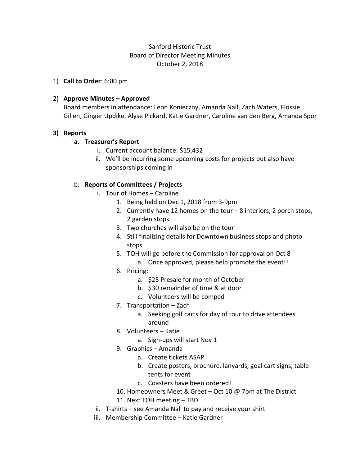# Sanford Historic Trust Board of Director Meeting Minutes October 2, 2018

1) **Call to Order**: 6:00 pm

### 2) **Approve Minutes – Approved**

Board members in attendance: Leon Konieczny, Amanda Nall, Zach Waters, Flossie Gillen, Ginger Updike, Alyse Pickard, Katie Gardner, Caroline van den Berg, Amanda Spor

### **3) Reports**

### **a. Treasurer's Report** –

- i. Current account balance: \$15,432
- ii. We'll be incurring some upcoming costs for projects but also have sponsorships coming in

## b. **Reports of Committees / Projects**

- i. Tour of Homes Caroline
	- 1. Being held on Dec 1, 2018 from 3-9pm
	- 2. Currently have 12 homes on the tour 8 interiors, 2 porch stops, 2 garden stops
	- 3. Two churches will also be on the tour
	- 4. Still finalizing details for Downtown business stops and photo stops
	- 5. TOH will go before the Commission for approval on Oct 8 a. Once approved, please help promote the event!!
	- 6. Pricing:
		- a. \$25 Presale for month of October
		- b. \$30 remainder of time & at door
		- c. Volunteers will be comped
	- 7. Transportation Zach
		- a. Seeking golf carts for day of tour to drive attendees around
	- 8. Volunteers Katie
		- a. Sign-ups will start Nov 1
	- 9. Graphics Amanda
		- a. Create tickets ASAP
		- b. Create posters, brochure, lanyards, goal cart signs, table tents for event
		- c. Coasters have been ordered!
	- 10. Homeowners Meet & Greet Oct 10 @ 7pm at The District
	- 11. Next TOH meeting TBD
- ii. T-shirts see Amanda Nall to pay and receive your shirt
- iii. Membership Committee Katie Gardner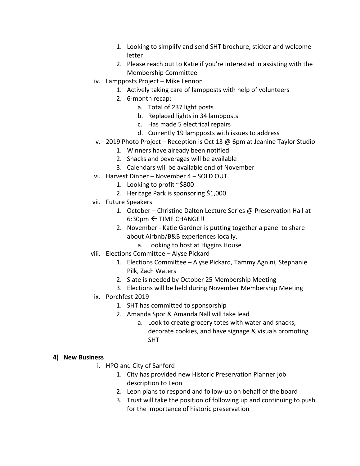- 1. Looking to simplify and send SHT brochure, sticker and welcome letter
- 2. Please reach out to Katie if you're interested in assisting with the Membership Committee
- iv. Lampposts Project Mike Lennon
	- 1. Actively taking care of lampposts with help of volunteers
	- 2. 6-month recap:
		- a. Total of 237 light posts
		- b. Replaced lights in 34 lampposts
		- c. Has made 5 electrical repairs
		- d. Currently 19 lampposts with issues to address
- v. 2019 Photo Project Reception is Oct 13 @ 6pm at Jeanine Taylor Studio
	- 1. Winners have already been notified
	- 2. Snacks and beverages will be available
	- 3. Calendars will be available end of November
- vi. Harvest Dinner November 4 SOLD OUT
	- 1. Looking to profit ~\$800
	- 2. Heritage Park is sponsoring \$1,000
- vii. Future Speakers
	- 1. October Christine Dalton Lecture Series @ Preservation Hall at  $6:30$ pm  $\leftarrow$  TIME CHANGE!!
	- 2. November Katie Gardner is putting together a panel to share about Airbnb/B&B experiences locally.
		- a. Looking to host at Higgins House
- viii. Elections Committee Alyse Pickard
	- 1. Elections Committee Alyse Pickard, Tammy Agnini, Stephanie Pilk, Zach Waters
	- 2. Slate is needed by October 25 Membership Meeting
	- 3. Elections will be held during November Membership Meeting
- ix. Porchfest 2019
	- 1. SHT has committed to sponsorship
	- 2. Amanda Spor & Amanda Nall will take lead
		- a. Look to create grocery totes with water and snacks, decorate cookies, and have signage & visuals promoting SHT

## **4) New Business**

- i. HPO and City of Sanford
	- 1. City has provided new Historic Preservation Planner job description to Leon
	- 2. Leon plans to respond and follow-up on behalf of the board
	- 3. Trust will take the position of following up and continuing to push for the importance of historic preservation